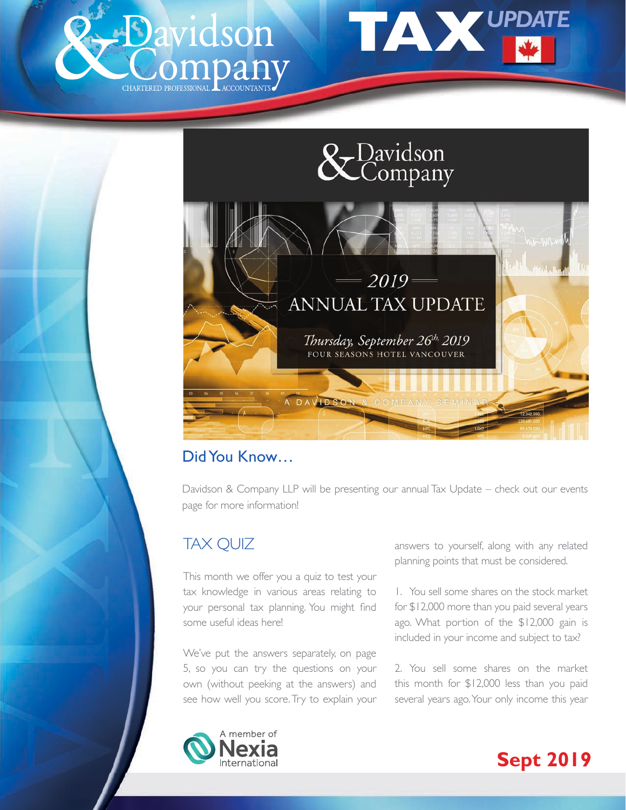





## Did You Know…

Davidson & Company LLP will be presenting our annual Tax Update – check out our events page for more information!

# TAX QUIZ

This month we offer you a quiz to test your tax knowledge in various areas relating to your personal tax planning. You might find some useful ideas here!

We've put the answers separately, on page 5, so you can try the questions on your own (without peeking at the answers) and see how well you score. Try to explain your answers to yourself, along with any related planning points that must be considered.

1. You sell some shares on the stock market for \$12,000 more than you paid several years ago. What portion of the \$12,000 gain is included in your income and subject to tax?

2. You sell some shares on the market this month for \$12,000 less than you paid several years ago. Your only income this year



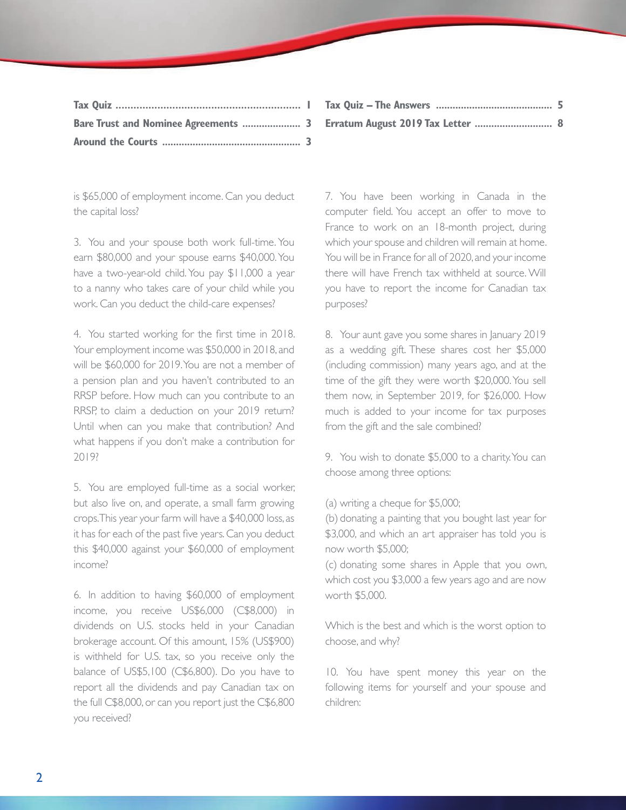| Bare Trust and Nominee Agreements  3 |  |
|--------------------------------------|--|
|                                      |  |

is \$65,000 of employment income. Can you deduct the capital loss?

3. You and your spouse both work full-time. You earn \$80,000 and your spouse earns \$40,000. You have a two-year-old child. You pay \$11,000 a year to a nanny who takes care of your child while you work. Can you deduct the child-care expenses?

4. You started working for the first time in 2018. Your employment income was \$50,000 in 2018, and will be \$60,000 for 2019. You are not a member of a pension plan and you haven't contributed to an RRSP before. How much can you contribute to an RRSP, to claim a deduction on your 2019 return? Until when can you make that contribution? And what happens if you don't make a contribution for 2019?

5. You are employed full-time as a social worker, but also live on, and operate, a small farm growing crops. This year your farm will have a \$40,000 loss, as it has for each of the past five years. Can you deduct this \$40,000 against your \$60,000 of employment income?

6. In addition to having \$60,000 of employment income, you receive US\$6,000 (C\$8,000) in dividends on U.S. stocks held in your Canadian brokerage account. Of this amount, 15% (US\$900) is withheld for U.S. tax, so you receive only the balance of US\$5,100 (C\$6,800). Do you have to report all the dividends and pay Canadian tax on the full C\$8,000, or can you report just the C\$6,800 you received?

7. You have been working in Canada in the computer field. You accept an offer to move to France to work on an 18-month project, during which your spouse and children will remain at home. You will be in France for all of 2020, and your income there will have French tax withheld at source. Will you have to report the income for Canadian tax purposes?

8. Your aunt gave you some shares in January 2019 as a wedding gift. These shares cost her \$5,000 (including commission) many years ago, and at the time of the gift they were worth \$20,000. You sell them now, in September 2019, for \$26,000. How much is added to your income for tax purposes from the gift and the sale combined?

9. You wish to donate \$5,000 to a charity. You can choose among three options:

(a) writing a cheque for \$5,000;

(b) donating a painting that you bought last year for \$3,000, and which an art appraiser has told you is now worth \$5,000;

(c) donating some shares in Apple that you own, which cost you \$3,000 a few years ago and are now worth \$5,000.

Which is the best and which is the worst option to choose, and why?

10. You have spent money this year on the following items for yourself and your spouse and children: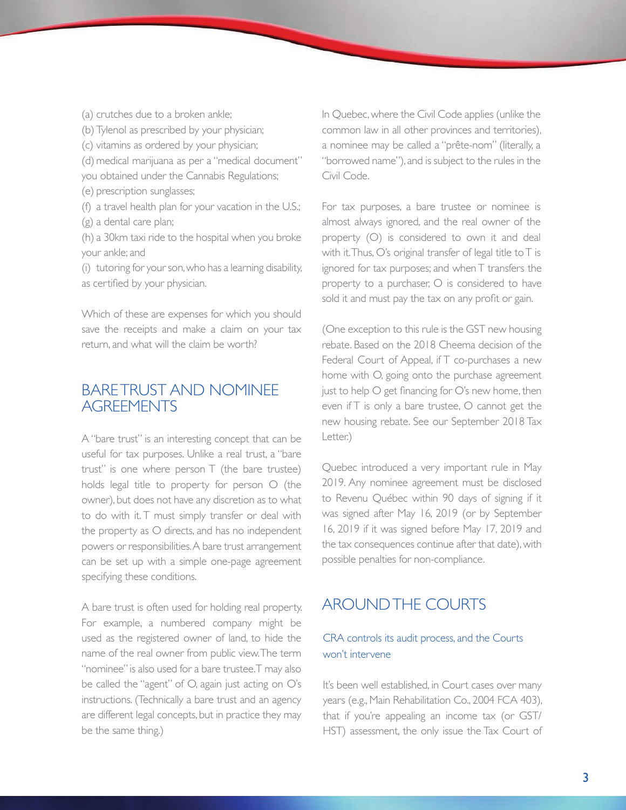(a) crutches due to a broken ankle; (b) Tylenol as prescribed by your physician; (c) vitamins as ordered by your physician; (d) medical marijuana as per a "medical document" you obtained under the Cannabis Regulations; (e) prescription sunglasses; (f) a travel health plan for your vacation in the U.S.; (g) a dental care plan; (h) a 30km taxi ride to the hospital when you broke your ankle; and

(i) tutoring for your son, who has a learning disability, as certified by your physician.

Which of these are expenses for which you should save the receipts and make a claim on your tax return, and what will the claim be worth?

### BARE TRUST AND NOMINEE **AGREEMENTS**

A "bare trust" is an interesting concept that can be useful for tax purposes. Unlike a real trust, a "bare trust" is one where person T (the bare trustee) holds legal title to property for person O (the owner), but does not have any discretion as to what to do with it. T must simply transfer or deal with the property as O directs, and has no independent powers or responsibilities. A bare trust arrangement can be set up with a simple one-page agreement specifying these conditions.

A bare trust is often used for holding real property. For example, a numbered company might be used as the registered owner of land, to hide the name of the real owner from public view. The term "nominee" is also used for a bare trustee. T may also be called the "agent" of O, again just acting on O's instructions. (Technically a bare trust and an agency are different legal concepts, but in practice they may be the same thing.)

In Quebec, where the Civil Code applies (unlike the common law in all other provinces and territories), a nominee may be called a "prête-nom" (literally, a "borrowed name"), and is subject to the rules in the Civil Code.

For tax purposes, a bare trustee or nominee is almost always ignored, and the real owner of the property (O) is considered to own it and deal with it. Thus, O's original transfer of legal title to T is ignored for tax purposes; and when T transfers the property to a purchaser, O is considered to have sold it and must pay the tax on any profit or gain.

(One exception to this rule is the GST new housing rebate. Based on the 2018 Cheema decision of the Federal Court of Appeal, if T co-purchases a new home with O, going onto the purchase agreement just to help O get financing for O's new home, then even if T is only a bare trustee, O cannot get the new housing rebate. See our September 2018 Tax Letter.)

Quebec introduced a very important rule in May 2019. Any nominee agreement must be disclosed to Revenu Québec within 90 days of signing if it was signed after May 16, 2019 (or by September 16, 2019 if it was signed before May 17, 2019 and the tax consequences continue after that date), with possible penalties for non-compliance.

#### AROUND THE COURTS

#### CRA controls its audit process, and the Courts won't intervene

It's been well established, in Court cases over many years (e.g., Main Rehabilitation Co., 2004 FCA 403), that if you're appealing an income tax (or GST/ HST) assessment, the only issue the Tax Court of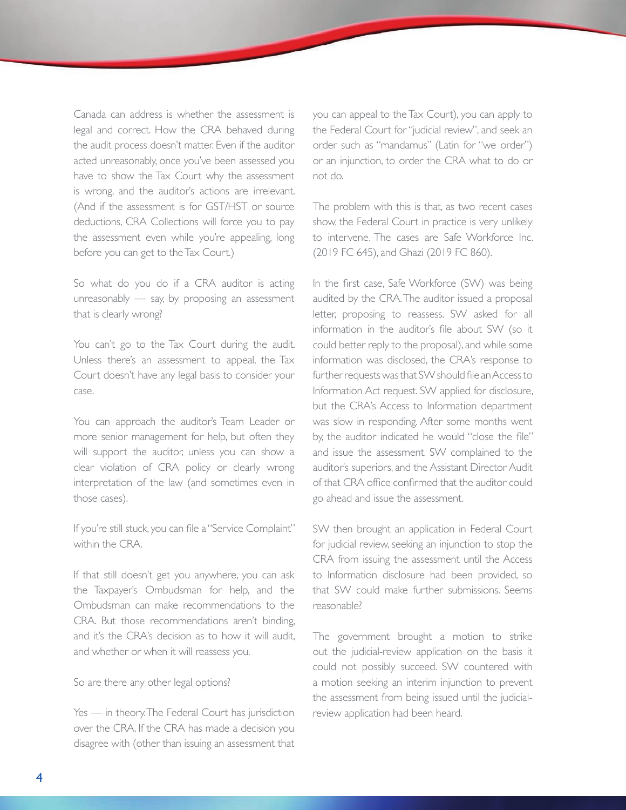Canada can address is whether the assessment is legal and correct. How the CRA behaved during the audit process doesn't matter. Even if the auditor acted unreasonably, once you've been assessed you have to show the Tax Court why the assessment is wrong, and the auditor's actions are irrelevant. (And if the assessment is for GST/HST or source deductions, CRA Collections will force you to pay the assessment even while you're appealing, long before you can get to the Tax Court.)

So what do you do if a CRA auditor is acting unreasonably — say, by proposing an assessment that is clearly wrong?

You can't go to the Tax Court during the audit. Unless there's an assessment to appeal, the Tax Court doesn't have any legal basis to consider your case.

You can approach the auditor's Team Leader or more senior management for help, but often they will support the auditor, unless you can show a clear violation of CRA policy or clearly wrong interpretation of the law (and sometimes even in those cases).

If you're still stuck, you can file a "Service Complaint" within the CRA.

If that still doesn't get you anywhere, you can ask the Taxpayer's Ombudsman for help, and the Ombudsman can make recommendations to the CRA. But those recommendations aren't binding, and it's the CRA's decision as to how it will audit, and whether or when it will reassess you.

So are there any other legal options?

Yes — in theory. The Federal Court has jurisdiction over the CRA. If the CRA has made a decision you disagree with (other than issuing an assessment that you can appeal to the Tax Court), you can apply to the Federal Court for "judicial review", and seek an order such as "mandamus" (Latin for "we order") or an injunction, to order the CRA what to do or not do.

The problem with this is that, as two recent cases show, the Federal Court in practice is very unlikely to intervene. The cases are Safe Workforce Inc. (2019 FC 645), and Ghazi (2019 FC 860).

In the first case, Safe Workforce (SW) was being audited by the CRA. The auditor issued a proposal letter, proposing to reassess. SW asked for all information in the auditor's file about SW (so it could better reply to the proposal), and while some information was disclosed, the CRA's response to further requests was that SW should file an Access to Information Act request. SW applied for disclosure, but the CRA's Access to Information department was slow in responding. After some months went by, the auditor indicated he would "close the file" and issue the assessment. SW complained to the auditor's superiors, and the Assistant Director Audit of that CRA office confirmed that the auditor could go ahead and issue the assessment.

SW then brought an application in Federal Court for judicial review, seeking an injunction to stop the CRA from issuing the assessment until the Access to Information disclosure had been provided, so that SW could make further submissions. Seems reasonable?

The government brought a motion to strike out the judicial-review application on the basis it could not possibly succeed. SW countered with a motion seeking an interim injunction to prevent the assessment from being issued until the judicialreview application had been heard.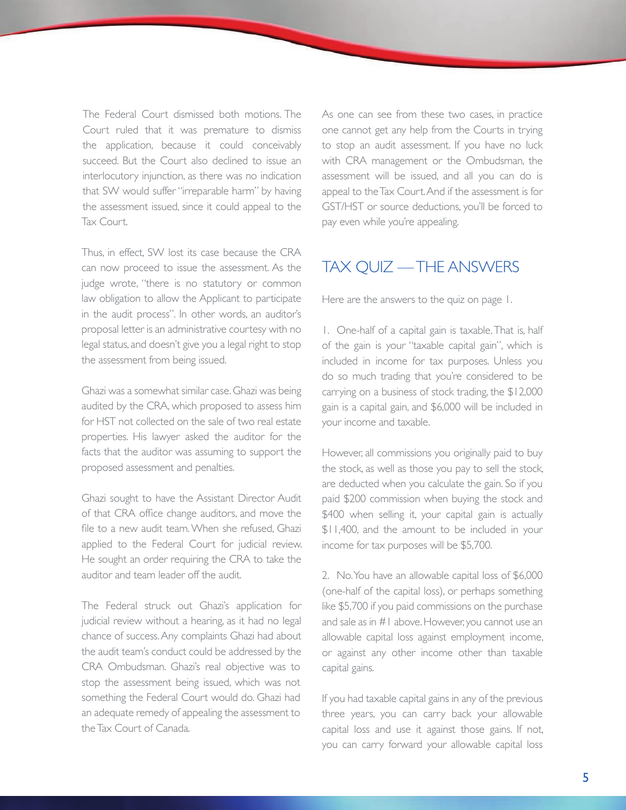The Federal Court dismissed both motions. The Court ruled that it was premature to dismiss the application, because it could conceivably succeed. But the Court also declined to issue an interlocutory injunction, as there was no indication that SW would suffer "irreparable harm" by having the assessment issued, since it could appeal to the Tax Court.

Thus, in effect, SW lost its case because the CRA can now proceed to issue the assessment. As the judge wrote, "there is no statutory or common law obligation to allow the Applicant to participate in the audit process". In other words, an auditor's proposal letter is an administrative courtesy with no legal status, and doesn't give you a legal right to stop the assessment from being issued.

Ghazi was a somewhat similar case. Ghazi was being audited by the CRA, which proposed to assess him for HST not collected on the sale of two real estate properties. His lawyer asked the auditor for the facts that the auditor was assuming to support the proposed assessment and penalties.

Ghazi sought to have the Assistant Director Audit of that CRA office change auditors, and move the file to a new audit team. When she refused, Ghazi applied to the Federal Court for judicial review. He sought an order requiring the CRA to take the auditor and team leader off the audit.

The Federal struck out Ghazi's application for judicial review without a hearing, as it had no legal chance of success. Any complaints Ghazi had about the audit team's conduct could be addressed by the CRA Ombudsman. Ghazi's real objective was to stop the assessment being issued, which was not something the Federal Court would do. Ghazi had an adequate remedy of appealing the assessment to the Tax Court of Canada.

As one can see from these two cases, in practice one cannot get any help from the Courts in trying to stop an audit assessment. If you have no luck with CRA management or the Ombudsman, the assessment will be issued, and all you can do is appeal to the Tax Court. And if the assessment is for GST/HST or source deductions, you'll be forced to pay even while you're appealing.

# TAX QUIZ — THE ANSWERS

Here are the answers to the quiz on page 1.

1. One-half of a capital gain is taxable. That is, half of the gain is your "taxable capital gain", which is included in income for tax purposes. Unless you do so much trading that you're considered to be carrying on a business of stock trading, the \$12,000 gain is a capital gain, and \$6,000 will be included in your income and taxable.

However, all commissions you originally paid to buy the stock, as well as those you pay to sell the stock, are deducted when you calculate the gain. So if you paid \$200 commission when buying the stock and \$400 when selling it, your capital gain is actually \$11,400, and the amount to be included in your income for tax purposes will be \$5,700.

2. No. You have an allowable capital loss of \$6,000 (one-half of the capital loss), or perhaps something like \$5,700 if you paid commissions on the purchase and sale as in #1 above. However, you cannot use an allowable capital loss against employment income, or against any other income other than taxable capital gains.

If you had taxable capital gains in any of the previous three years, you can carry back your allowable capital loss and use it against those gains. If not, you can carry forward your allowable capital loss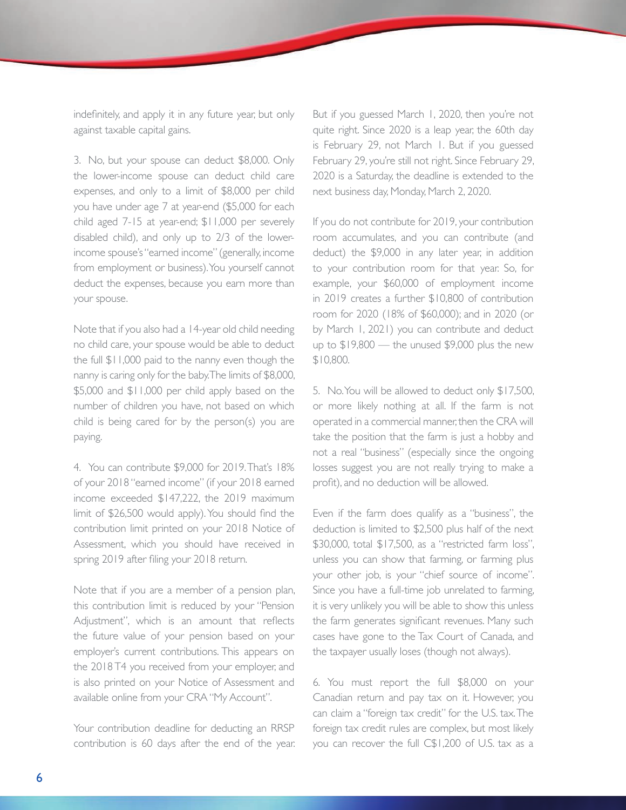indefinitely, and apply it in any future year, but only against taxable capital gains.

3. No, but your spouse can deduct \$8,000. Only the lower-income spouse can deduct child care expenses, and only to a limit of \$8,000 per child you have under age 7 at year-end (\$5,000 for each child aged 7-15 at year-end; \$11,000 per severely disabled child), and only up to 2/3 of the lowerincome spouse's "earned income" (generally, income from employment or business). You yourself cannot deduct the expenses, because you earn more than your spouse.

Note that if you also had a 14-year old child needing no child care, your spouse would be able to deduct the full \$11,000 paid to the nanny even though the nanny is caring only for the baby. The limits of \$8,000, \$5,000 and \$11,000 per child apply based on the number of children you have, not based on which child is being cared for by the person(s) you are paying.

4. You can contribute \$9,000 for 2019. That's 18% of your 2018 "earned income" (if your 2018 earned income exceeded \$147,222, the 2019 maximum limit of \$26,500 would apply). You should find the contribution limit printed on your 2018 Notice of Assessment, which you should have received in spring 2019 after filing your 2018 return.

Note that if you are a member of a pension plan, this contribution limit is reduced by your "Pension Adjustment", which is an amount that reflects the future value of your pension based on your employer's current contributions. This appears on the 2018 T4 you received from your employer, and is also printed on your Notice of Assessment and available online from your CRA "My Account".

Your contribution deadline for deducting an RRSP contribution is 60 days after the end of the year. But if you guessed March 1, 2020, then you're not quite right. Since 2020 is a leap year, the 60th day is February 29, not March 1. But if you guessed February 29, you're still not right. Since February 29, 2020 is a Saturday, the deadline is extended to the next business day, Monday, March 2, 2020.

If you do not contribute for 2019, your contribution room accumulates, and you can contribute (and deduct) the \$9,000 in any later year, in addition to your contribution room for that year. So, for example, your \$60,000 of employment income in 2019 creates a further \$10,800 of contribution room for 2020 (18% of \$60,000); and in 2020 (or by March 1, 2021) you can contribute and deduct up to \$19,800 — the unused \$9,000 plus the new \$10,800.

5. No. You will be allowed to deduct only \$17,500, or more likely nothing at all. If the farm is not operated in a commercial manner, then the CRA will take the position that the farm is just a hobby and not a real "business" (especially since the ongoing losses suggest you are not really trying to make a profit), and no deduction will be allowed.

Even if the farm does qualify as a "business", the deduction is limited to \$2,500 plus half of the next \$30,000, total \$17,500, as a "restricted farm loss", unless you can show that farming, or farming plus your other job, is your "chief source of income". Since you have a full-time job unrelated to farming, it is very unlikely you will be able to show this unless the farm generates significant revenues. Many such cases have gone to the Tax Court of Canada, and the taxpayer usually loses (though not always).

6. You must report the full \$8,000 on your Canadian return and pay tax on it. However, you can claim a "foreign tax credit" for the U.S. tax. The foreign tax credit rules are complex, but most likely you can recover the full C\$1,200 of U.S. tax as a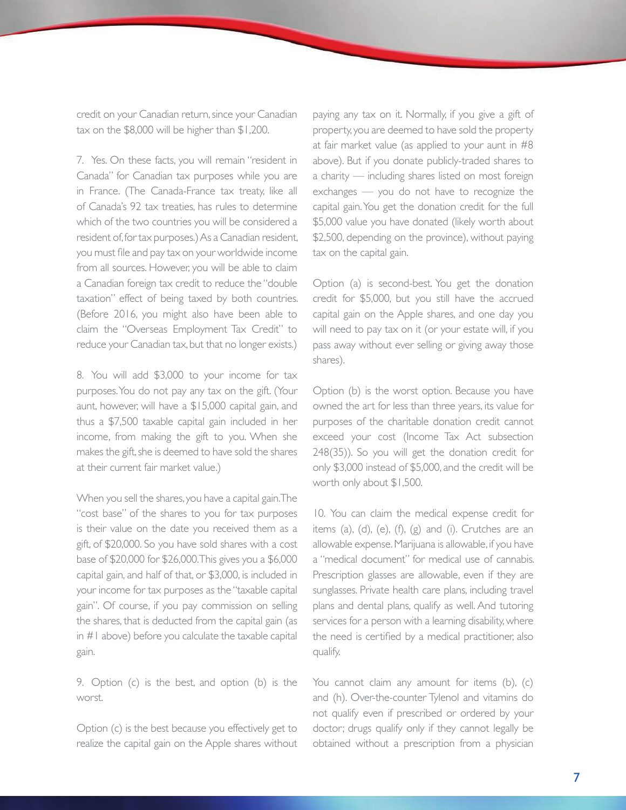credit on your Canadian return, since your Canadian tax on the \$8,000 will be higher than \$1,200.

7. Yes. On these facts, you will remain "resident in Canada" for Canadian tax purposes while you are in France. (The Canada-France tax treaty, like all of Canada's 92 tax treaties, has rules to determine which of the two countries you will be considered a resident of, for tax purposes.) As a Canadian resident, you must file and pay tax on your worldwide income from all sources. However, you will be able to claim a Canadian foreign tax credit to reduce the "double taxation" effect of being taxed by both countries. (Before 2016, you might also have been able to claim the "Overseas Employment Tax Credit" to reduce your Canadian tax, but that no longer exists.)

8. You will add \$3,000 to your income for tax purposes. You do not pay any tax on the gift. (Your aunt, however, will have a \$15,000 capital gain, and thus a \$7,500 taxable capital gain included in her income, from making the gift to you. When she makes the gift, she is deemed to have sold the shares at their current fair market value.)

When you sell the shares, you have a capital gain. The "cost base" of the shares to you for tax purposes is their value on the date you received them as a gift, of \$20,000. So you have sold shares with a cost base of \$20,000 for \$26,000. This gives you a \$6,000 capital gain, and half of that, or \$3,000, is included in your income for tax purposes as the "taxable capital gain". Of course, if you pay commission on selling the shares, that is deducted from the capital gain (as in #1 above) before you calculate the taxable capital gain.

9. Option (c) is the best, and option (b) is the worst.

Option (c) is the best because you effectively get to realize the capital gain on the Apple shares without paying any tax on it. Normally, if you give a gift of property, you are deemed to have sold the property at fair market value (as applied to your aunt in #8 above). But if you donate publicly-traded shares to a charity — including shares listed on most foreign exchanges — you do not have to recognize the capital gain. You get the donation credit for the full \$5,000 value you have donated (likely worth about \$2,500, depending on the province), without paying tax on the capital gain.

Option (a) is second-best. You get the donation credit for \$5,000, but you still have the accrued capital gain on the Apple shares, and one day you will need to pay tax on it (or your estate will, if you pass away without ever selling or giving away those shares).

Option (b) is the worst option. Because you have owned the art for less than three years, its value for purposes of the charitable donation credit cannot exceed your cost (Income Tax Act subsection 248(35)). So you will get the donation credit for only \$3,000 instead of \$5,000, and the credit will be worth only about \$1,500.

10. You can claim the medical expense credit for items (a), (d), (e), (f), (g) and (i). Crutches are an allowable expense. Marijuana is allowable, if you have a "medical document" for medical use of cannabis. Prescription glasses are allowable, even if they are sunglasses. Private health care plans, including travel plans and dental plans, qualify as well. And tutoring services for a person with a learning disability, where the need is certified by a medical practitioner, also qualify.

You cannot claim any amount for items (b), (c) and (h). Over-the-counter Tylenol and vitamins do not qualify even if prescribed or ordered by your doctor; drugs qualify only if they cannot legally be obtained without a prescription from a physician